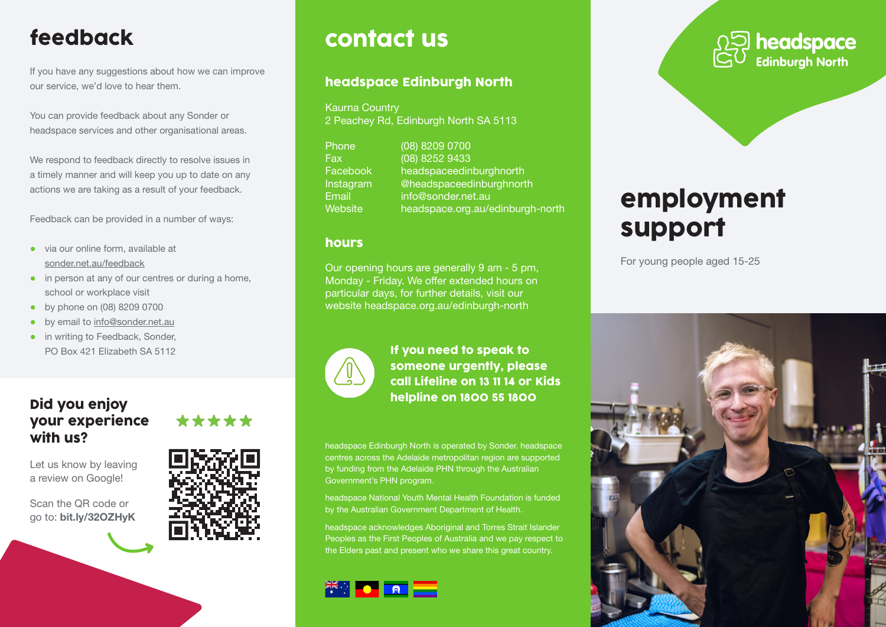# feedback

If you have any suggestions about how we can improve our service, we'd love to hear them.

You can provide feedback about any Sonder or headspace services and other organisational areas.

We respond to feedback directly to resolve issues in a timely manner and will keep you up to date on any actions we are taking as a result of your feedback.

Feedback can be provided in a number of ways:

- via our online form, available at sonder.net.au/feedback
- in person at any of our centres or during a home, school or workplace visit
- by phone on (08) 8209 0700
- by email to info@sonder.net.au
- in writing to Feedback, Sonder, PO Box 421 Elizabeth SA 5112

### Did you enjoy your experience with us?

Let us know by leaving a review on Google!

Scan the QR code or go to: bit.ly/32OZHyK





# contact us

#### headspace Edinburgh North

Kaurna Country 2 Peachey Rd, Edinburgh North SA 5113

| Phone     | (08) 8209 0700                   |
|-----------|----------------------------------|
| Fax       | (08) 8252 9433                   |
| Facebook  | headspaceedinburghnorth          |
| Instagram | @headspaceedinburghnorth         |
| Email     | info@sonder.net.au               |
| Website,  | headspace.org.au/edinburgh-north |

#### hours

Our opening hours are generally 9 am - 5 pm, Monday - Friday. We offer extended hours on particular days, for further details, visit our website headspace.org.au/edinburgh-north



If you need to speak to someone urgently, please call Lifeline on 13 11 14 or Kids helpline on 1800 55 1800

headspace Edinburgh North is operated by Sonder. headspace centres across the Adelaide metropolitan region are supported by funding from the Adelaide PHN through the Australian Government's PHN program.

headspace National Youth Mental Health Foundation is funded by the Australian Government Department of Health.

headspace acknowledges Aboriginal and Torres Strait Islander Peoples as the First Peoples of Australia and we pay respect to the Elders past and present who we share this great country.





# employment support

For young people aged 15-25